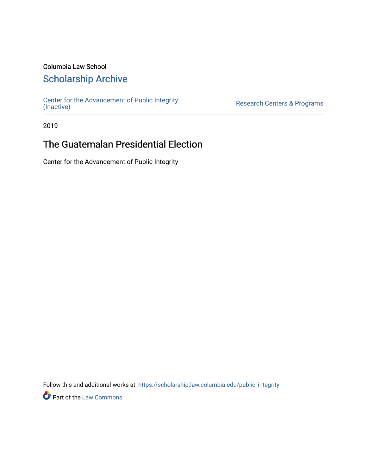### Columbia Law School

## [Scholarship Archive](https://scholarship.law.columbia.edu/)

[Center for the Advancement of Public Integrity](https://scholarship.law.columbia.edu/public_integrity)<br>(Inactive)

Research Centers & Programs

2019

## The Guatemalan Presidential Election

Center for the Advancement of Public Integrity

Follow this and additional works at: [https://scholarship.law.columbia.edu/public\\_integrity](https://scholarship.law.columbia.edu/public_integrity?utm_source=scholarship.law.columbia.edu%2Fpublic_integrity%2F14&utm_medium=PDF&utm_campaign=PDFCoverPages)

**Part of the [Law Commons](http://network.bepress.com/hgg/discipline/578?utm_source=scholarship.law.columbia.edu%2Fpublic_integrity%2F14&utm_medium=PDF&utm_campaign=PDFCoverPages)**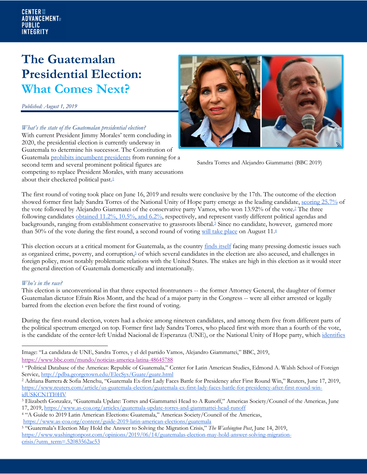#### **CENTER ::: ADVANCEMENT**<sub>®</sub> **PUBLIC INTEGRITY**

# **The Guatemalan Presidential Election: What Comes Next?**

*Published: August 1, 2019*

*What's the state of the Guatemalan presidential election?* With current President Jimmy Morales' term concluding in 2020, the presidential election is currently underway in Guatemala to determine his successor. The Constitution of

Guatemala prohibits incumbent presidents from running for a second term and several prominent political figures are competing to replace President Morales, with many accusations about their checkered political past.<sup>1</sup>



Sandra Torres and Alejandro Giammattei (BBC 2019)

The first round of voting took place on June 16, 2019 and results were conclusive by the 17th. The outcome of the election showed former first lady Sandra Torres of the National Unity of Hope party emerge as the leading candidate, scoring 25.7% of the vote followed by Alejandro Giammatei of the conservative party Vamos, who won 13.92% of the vote.2 The three following candidates obtained 11.2%, 10.5%, and 6.2%, respectively, and represent vastly different political agendas and backgrounds, ranging from establishment conservative to grassroots liberal. <sup>3</sup> Since no candidate, however, garnered more than 50% of the vote during the first round, a second round of voting will take place on August 11.4

This election occurs at a critical moment for Guatemala, as the country finds itself facing many pressing domestic issues such as organized crime, poverty, and corruption,<sup>5</sup> of which several candidates in the election are also accused, and challenges in foreign policy, most notably problematic relations with the United States. The stakes are high in this election as it would steer the general direction of Guatemala domestically and internationally.

### *Who's in the race?*

This election is unconventional in that three expected frontrunners -- the former Attorney General, the daughter of former Guatemalan dictator Efraín Ríos Montt, and the head of a major party in the Congress -- were all either arrested or legally barred from the election even before the first round of voting.

During the first-round election, voters had a choice among nineteen candidates, and among them five from different parts of the political spectrum emerged on top. Former first lady Sandra Torres, who placed first with more than a fourth of the vote, is the candidate of the center-left Unidad Nacional de Esperanza (UNE), or the National Unity of Hope party, which identifies

Image: "La candidata de UNE, Sandra Torres, y el del partido Vamos, Alejandro Giammattei," BBC, 2019, https://www.bbc.com/mundo/noticias-america-latina-48645788

<sup>2</sup> Adriana Barrera & Sofia Menchu, "Guatemala Ex-first Lady Faces Battle for Presidency after First Round Win," Reuters, June 17, 2019, https://www.reuters.com/article/us-guatemala-election/guatemala-ex-first-lady-faces-battle-for-presidency-after-first-round-winidUSKCN1TI0HV

<sup>4</sup> "A Guide to 2019 Latin American Elections: Guatemala," Americas Society/Council of the Americas,

https://www.as-coa.org/content/guide-2019-latin-american-elections/guatemala

<sup>1</sup> "Political Database of the Americas: Republic of Guatemala*,*" Center for Latin American Studies, Edmond A. Walsh School of Foreign Service, http://pdba.georgetown.edu/ElecSys/Guate/guate.html

<sup>&</sup>lt;sup>3</sup> Elizabeth Gonzalez, "Guatemala Update: Torres and Giammattei Head to A Runoff," Americas Society/Council of the Americas, June 17, 2019, https://www.as-coa.org/articles/guatemala-update-torres-and-giammattei-head-runoff

<sup>5</sup> "Guatemala's Election May Hold the Answer to Solving the Migration Crisis," *The Washington Post*, June 14, 2019, https://www.washingtonpost.com/opinions/2019/06/14/guatemalas-election-may-hold-answer-solving-migrationcrisis/?utm\_term=.52083562ac53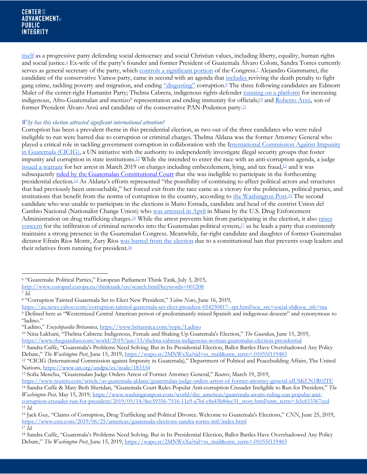itself as a progressive party defending social democracy and social Christian values, including liberty, equality, human rights and social justice.<sup>6</sup> Ex-wife of the party's founder and former President of Guatemala Álvaro Colom, Sandra Torres currently serves as general secretary of the party, which controls a significant portion of the Congress.<sup>7</sup> Alejandro Giammattei, the candidate of the conservative Vamos party, came in second with an agenda that includes reviving the death penalty to fight gang crime, tackling poverty and migration, and ending "disgusting" corruption.<sup>8</sup> The three following candidates are Edmont Mulet of the center-right Humanist Party; Thelma Cabrera, indigenous rights defender running on a platform for increasing indigenous, Afro-Guatemalan and mestizo<sup>9</sup> representation and ending immunity for officials;<sup>10</sup> and Roberto Arzú, son of former President Álvaro Arzú and candidate of the conservative PAN-Podemos party.11

### *Why has this election attracted significant international attention?*

Corruption has been a prevalent theme in this presidential election, as two out of the three candidates who were ruled ineligible to run were barred due to corruption or criminal charges. Thelma Aldana was the former Attorney General who played a critical role in tackling government corruption in collaboration with the International Commission Against Impunity in Guatemala (CICIG), a UN initiative with the authority to independently investigate illegal security groups that foster impunity and corruption in state institutions.12 While she intended to enter the race with an anti-corruption agenda, a judge issued a warrant for her arrest in March 2019 on charges including embezzlement, lying, and tax fraud,13 and it was subsequently <u>ruled by the Guatemalan Constitutional Court</u> that she was ineligible to participate in the forthcoming presidential election.14 As Aldana's efforts represented "the possibility of continuing to affect political actors and structures that had previously been untouchable," her forced exit from the race came as a victory for the politicians, political parties, and institutions that benefit from the norms of corruption in the country, according to the Washington Post.15 The second candidate who was unable to participate in the elections is Mario Estrada, candidate and head of the centrist Union del Cambio Nacional (Nationalist Change Union) who was arrested in April in Miami by the U.S. Drug Enforcement Administration on drug trafficking charges.<sup>16</sup> While the arrest prevents him from participating in the election, it also raises concern for the infiltration of criminal networks into the Guatemalan political system, <sup>17</sup> as he leads a party that consistently maintains a strong presence in the Guatemalan Congress. Meanwhile, far-right candidate and daughter of former Guatemalan dictator Efraín Ríos Montt, Zury Ríos was barred from the election due to a constitutional ban that prevents coup leaders and their relatives from running for president. $18$ 

<sup>10</sup> Nina Lakhani, "Thelma Cabrera: Indigenous, Female and Shaking Up Guatemala's Election," *The Guardian*, June 15, 2019, https://www.theguardian.com/world/2019/jun/15/thelma-cabrera-indigenous-woman-guatemalas-election-presidential

<sup>11</sup> Sandra Cuffe, "Guatemala's Problems Need Solving. But in Its Presidential Election, Ballot Battles Have Overshadowed Any Policy Debate," *The Washington Post*, June 15, 2019, https://wapo.st/2MNWxXa?tid=ss\_mail&utm\_term=.01055f119483

<sup>6</sup> "Guatemala: Political Parties," European Parliament Think Tank, July 3, 2015,

http://www.europarl.europa.eu/thinktank/en/search.html?keywords=001208

<sup>7</sup> *Id.*

<sup>8</sup> "Corruption Tainted Guatemala Set to Elect New President," *Yahoo News*, June 16, 2019,

https://au.news.yahoo.com/corruption-tainted-guatemala-set-elect-president-054250817--spt.html?soc\_src=social-sh&soc\_trk=ma <sup>9</sup> Defined here as "Westernized Central American person of predominantly mixed Spanish and indigenous descent" and synonymous to "ladino."

<sup>&</sup>quot;Ladino," *Encyclopaedia Britannica*, https://www.britannica.com/topic/Ladino

<sup>12</sup> "CICIG (International Commission against Impunity in Guatemala)," Department of Political and Peacebuilding Affairs, The United Nations, https://www.un.org/undpa/es/node/183334

<sup>13</sup> Sofia Menchu, "Guatemalan Judge Orders Arrest of Former Attorney General," *Reuters*, March 19, 2019,

https://www.reuters.com/article/us-guatemala-aldana/guatemalan-judge-orders-arrest-of-former-attorney-general-idUSKCN1R02TE <sup>14</sup> Sandra Cuffe & Mary Beth Sheridan, "Guatemala Court Rules Popular Anti-corruption Crusader Ineligible to Run for President*,*" *The Washington Post,* May 15, 2019, https://www.washingtonpost.com/world/the\_americas/guatemala-awaits-ruling-can-popular-anticorruption-crusader-run-for-president/2019/05/14/8ec59356-7516-11e9-a7bf-c8a43b84ee31\_story.html?utm\_term=.b5c653367ccd <sup>15</sup> *Id.*

<sup>16</sup> Jack Guy, "Claims of Corruption, Drug Trafficking and Political Divorce. Welcome to Guatemala's Elections," *CNN*, June 25, 2019, https://www.cnn.com/2019/06/25/americas/guatemala-elections-sandra-torres-intl/index.html <sup>17</sup> *Id.*

<sup>18</sup> Sandra Cuffe, "Guatemala's Problems Need Solving. But in Its Presidential Election, Ballot Battles Have Overshadowed Any Policy Debate," *The Washington Post*, June 15, 2019, https://wapo.st/2MNWxXa?tid=ss\_mail&utm\_term=.01055f119483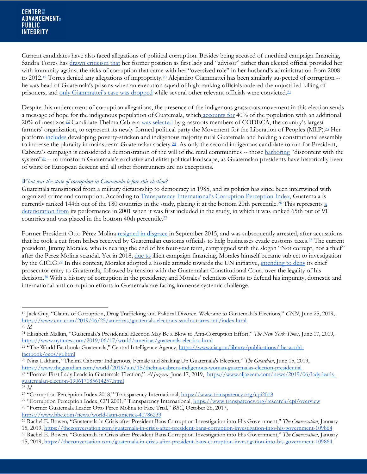Current candidates have also faced allegations of political corruption. Besides being accused of unethical campaign financing, Sandra Torres has drawn criticism that her former position as first lady and "advisor" rather than elected official provided her with immunity against the risks of corruption that came with her "oversized role" in her husband's administration from 2008 to 2012.<sup>19</sup> Torres denied any allegations of impropriety.<sup>20</sup> Alejandro Giammattei has been similarly suspected of corruption -he was head of Guatemala's prisons when an execution squad of high-ranking officials ordered the unjustified killing of prisoners, and only Giammattei's case was dropped while several other relevant officials were convicted.21

Despite this undercurrent of corruption allegations, the presence of the indigenous grassroots movement in this election sends a message of hope for the indigenous population of Guatemala, which accounts for 40% of the population with an additional 20% of mestizos.22 Candidate Thelma Cabrera was selected by grassroots members of CODECA, the country's largest farmers' organization, to represent its newly formed political party the Movement for the Liberation of Peoples (MLP).<sup>23</sup> Her platform includes developing poverty-stricken and indigenous majority rural Guatemala and holding a constitutional assembly to increase the plurality in mainstream Guatemalan society.<sup>24</sup> As only the second indigenous candidate to run for President, Cabrera's campaign is considered a demonstration of the will of the rural communities -- those harboring "discontent with the system"<sup>25</sup> -- to transform Guatemala's exclusive and elitist political landscape, as Guatemalan presidents have historically been of white or European descent and all other frontrunners are no exceptions.

### *What was the state of corruption in Guatemala before this election?*

Guatemala transitioned from a military dictatorship to democracy in 1985, and its politics has since been intertwined with organized crime and corruption. According to Transparency International's Corruption Perception Index, Guatemala is currently ranked 144th out of the 180 countries in the study, placing it at the bottom 20th percentile.<sup>26</sup> This represents a deterioration from its performance in 2001 when it was first included in the study, in which it was ranked 65th out of 91 countries and was placed in the bottom 40th percentile.27

Former President Otto Pérez Molina resigned in disgrace in September 2015, and was subsequently arrested, after accusations that he took a cut from bribes received by Guatemalan customs officials to help businesses evade customs taxes.<sup>28</sup> The current president, Jimmy Morales, who is nearing the end of his four-year term, campaigned with the slogan "Not corrupt, nor a thief" after the Perez Molina scandal. Yet in 2018, due to illicit campaign financing, Morales himself became subject to investigation by the CICIG.<sup>29</sup> In this context, Morales adopted a hostile attitude towards the UN initiative, intending to deny its chief prosecutor entry to Guatemala, followed by tension with the Guatemalan Constitutional Court over the legality of his decision.30 With a history of corruption in the presidency and Morales' relentless efforts to defend his impunity, domestic and international anti-corruption efforts in Guatemala are facing immense systemic challenge.

<sup>23</sup> Nina Lakhani, "Thelma Cabrera: Indigenous, Female and Shaking Up Guatemala's Election," *The Guardian*, June 15, 2019, https://www.theguardian.com/world/2019/jun/15/thelma-cabrera-indigenous-woman-guatemalas-election-presidential

https://www.bbc.com/news/world-latin-america-41786239

<sup>19</sup> Jack Guy, "Claims of Corruption, Drug Trafficking and Political Divorce. Welcome to Guatemala's Elections," *CNN*, June 25, 2019, https://www.cnn.com/2019/06/25/americas/guatemala-elections-sandra-torres-intl/index.html <sup>20</sup> *Id.*

<sup>21</sup> Elisabeth Malkin, "Guatemala's Presidential Election May Be a Blow to Anti-Corruption Effort," *The New York Times,* June 17, 2019, https://www.nytimes.com/2019/06/17/world/americas/guatemala-election.html

<sup>&</sup>lt;sup>22 "T</sup>he World Factbook: Guatemala," Central Intelligence Agency, https://www.cia.gov/library/publications/the-worldfactbook/geos/gt.html

<sup>24</sup> "Former First Lady Leads in Guatemala Election," *Al Jazeera*, June 17, 2019, https://www.aljazeera.com/news/2019/06/lady-leadsguatemalan-election-190617085614257.html

<sup>25</sup> *Id.*

<sup>26</sup> "Corruption Perception Index 2018," Transparency International, https://www.transparency.org/cpi2018

<sup>&</sup>lt;sup>27</sup> "Corruption Perception Index, CPI 2001," Transparency International, https://www.transparency.org/research/cpi/overview <sup>28</sup> "Former Guatemala Leader Otto Pérez Molina to Face Trial*,*" *BBC*, October 28, 2017,

<sup>29</sup> Rachel E. Bowen*,* "Guatemala in Crisis after President Bans Corruption Investigation into His Government," *The Conversation*, January 15, 2019, https://theconversation.com/guatemala-in-crisis-after-president-bans-corruption-investigation-into-his-government-109864 <sup>30</sup> Rachel E. Bowen*,* "Guatemala in Crisis after President Bans Corruption Investigation into His Government," *The Conversation*, January 15, 2019, https://theconversation.com/guatemala-in-crisis-after-president-bans-corruption-investigation-into-his-government-109864